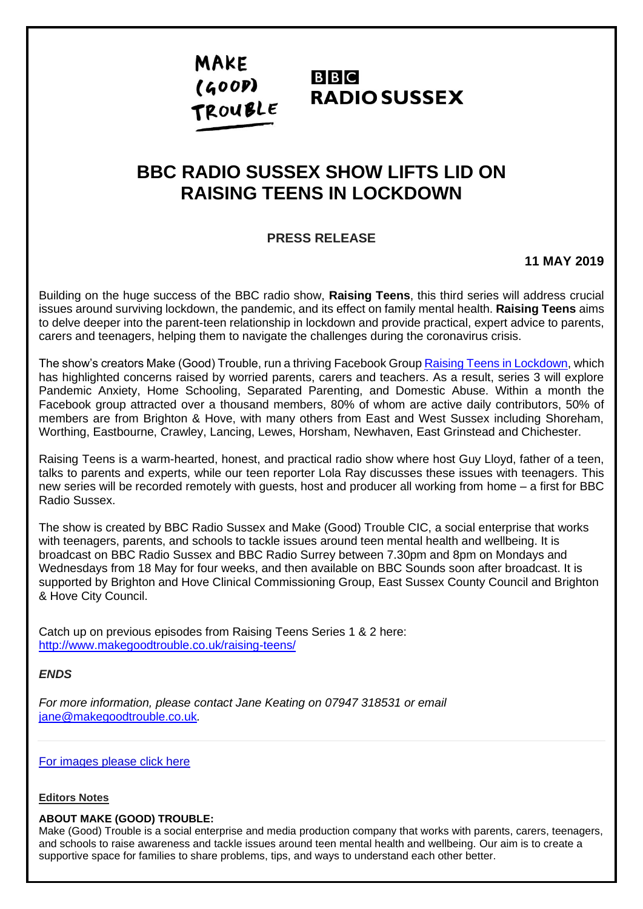# **MAKE**  $(600P)$ TROUBLE

## **BBC RADIO SUSSEX**

## **BBC RADIO SUSSEX SHOW LIFTS LID ON RAISING TEENS IN LOCKDOWN**

## **PRESS RELEASE**

**11 MAY 2019**

Building on the huge success of the BBC radio show, **Raising Teens**, this third series will address crucial issues around surviving lockdown, the pandemic, and its effect on family mental health. **Raising Teens** aims to delve deeper into the parent-teen relationship in lockdown and provide practical, expert advice to parents, carers and teenagers, helping them to navigate the challenges during the coronavirus crisis.

The show's creators Make (Good) Trouble, run a thriving Facebook Group [Raising Teens in Lockdown,](https://www.facebook.com/groups/2648023175433512) which has highlighted concerns raised by worried parents, carers and teachers. As a result, series 3 will explore Pandemic Anxiety, Home Schooling, Separated Parenting, and Domestic Abuse. Within a month the Facebook group attracted over a thousand members, 80% of whom are active daily contributors, 50% of members are from Brighton & Hove, with many others from East and West Sussex including Shoreham, Worthing, Eastbourne, Crawley, Lancing, Lewes, Horsham, Newhaven, East Grinstead and Chichester.

Raising Teens is a warm-hearted, honest, and practical radio show where host Guy Lloyd, father of a teen, talks to parents and experts, while our teen reporter Lola Ray discusses these issues with teenagers. This new series will be recorded remotely with guests, host and producer all working from home – a first for BBC Radio Sussex.

The show is created by BBC Radio Sussex and Make (Good) Trouble CIC, a social enterprise that works with teenagers, parents, and schools to tackle issues around teen mental health and wellbeing. It is broadcast on BBC Radio Sussex and BBC Radio Surrey between 7.30pm and 8pm on Mondays and Wednesdays from 18 May for four weeks, and then available on BBC Sounds soon after broadcast. It is supported by Brighton and Hove Clinical Commissioning Group, East Sussex County Council and Brighton & Hove City Council.

Catch up on previous episodes from Raising Teens Series 1 & 2 here: <http://www.makegoodtrouble.co.uk/raising-teens/>

*ENDS*

*For more information, please contact Jane Keating on 07947 318531 or email*  [jane@makegoodtrouble.co.uk](mailto:jane@makegoodtrouble.co.uk)*.*

[For images please click here](https://www.dropbox.com/sh/4p1mwvwhos83xao/AAAn88ExTDH0UOpUN-GziFipa?dl=0)

#### **Editors Notes**

#### **ABOUT MAKE (GOOD) TROUBLE:**

Make (Good) Trouble is a social enterprise and media production company that works with parents, carers, teenagers, and schools to raise awareness and tackle issues around teen mental health and wellbeing. Our aim is to create a supportive space for families to share problems, tips, and ways to understand each other better.